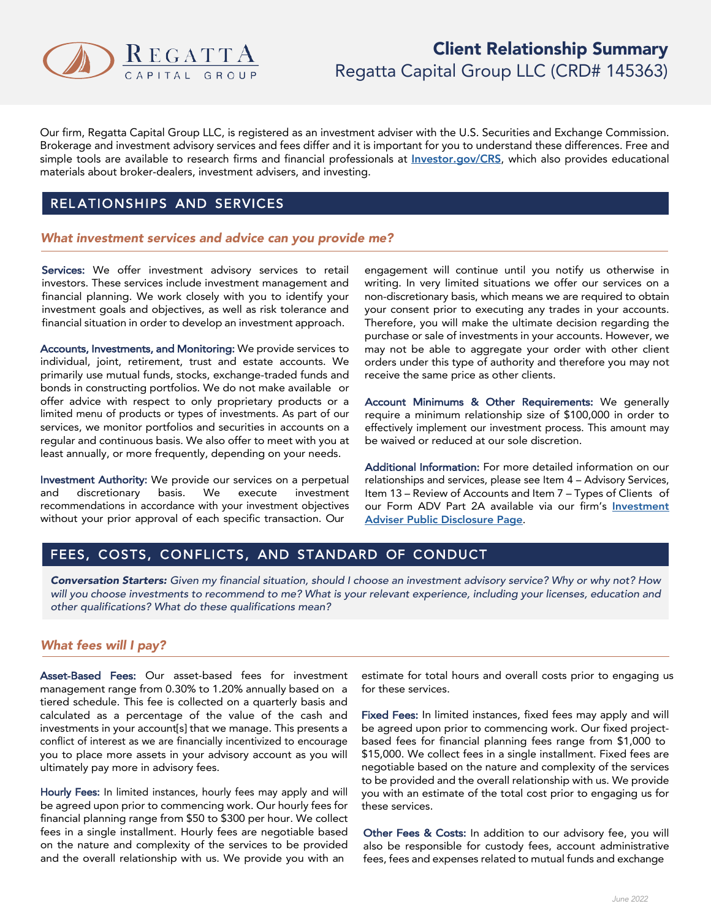

# Client Relationship Summary Regatta Capital Group LLC (CRD# 145363)

Our firm, Regatta Capital Group LLC, is registered as an investment adviser with the U.S. Securities and Exchange Commission. Brokerage and investment advisory services and fees differ and it is important for you to understand these differences. Free and simple tools are available to research firms and financial professionals at *Investor.gov/CRS*, which also provides educational materials about broker-dealers, investment advisers, and investing.

### REL ATIONSHIPS AND SERVICES

#### *What investment services and advice can you provide me?*

Services: We offer investment advisory services to retail investors. These services include investment management and financial planning. We work closely with you to identify your investment goals and objectives, as well as risk tolerance and financial situation in order to develop an investment approach.

Accounts, Investments, and Monitoring: We provide services to individual, joint, retirement, trust and estate accounts. We primarily use mutual funds, stocks, exchange-traded funds and bonds in constructing portfolios. We do not make available or offer advice with respect to only proprietary products or a limited menu of products or types of investments. As part of our services, we monitor portfolios and securities in accounts on a regular and continuous basis. We also offer to meet with you at least annually, or more frequently, depending on your needs.

Investment Authority: We provide our services on a perpetual and discretionary basis. We execute investment recommendations in accordance with your investment objectives without your prior approval of each specific transaction. Our

engagement will continue until you notify us otherwise in writing. In very limited situations we offer our services on a non-discretionary basis, which means we are required to obtain your consent prior to executing any trades in your accounts. Therefore, you will make the ultimate decision regarding the purchase or sale of investments in your accounts. However, we may not be able to aggregate your order with other client orders under this type of authority and therefore you may not receive the same price as other clients.

Account Minimums & Other Requirements: We generally require a minimum relationship size of \$100,000 in order to effectively implement our investment process. This amount may be waived or reduced at our sole discretion.

Additional Information: For more detailed information on our relationships and services, please see Item 4 – Advisory Services, Item 13 – Review of Accounts and Item 7 – Types of Clients of our Form ADV Part 2A available via our firm's Investment Adviser Public Disclosure Page.

# FEES, COSTS, CONFLICTS, AND STANDARD OF CONDUCT

Conversation Starters: Given my financial situation, should I choose an investment advisory service? Why or why not? How will you choose investments to recommend to me? What is your relevant experience, including your licenses, education and *other qualifications? What do these qualifications mean?*

### *What fees will I pay?*

Asset-Based Fees: Our asset-based fees for investment management range from 0.30% to 1.20% annually based on a tiered schedule. This fee is collected on a quarterly basis and calculated as a percentage of the value of the cash and investments in your account[s] that we manage. This presents a conflict of interest as we are financially incentivized to encourage you to place more assets in your advisory account as you will ultimately pay more in advisory fees.

Hourly Fees: In limited instances, hourly fees may apply and will be agreed upon prior to commencing work. Our hourly fees for financial planning range from \$50 to \$300 per hour. We collect fees in a single installment. Hourly fees are negotiable based on the nature and complexity of the services to be provided and the overall relationship with us. We provide you with an

estimate for total hours and overall costs prior to engaging us for these services.

Fixed Fees: In limited instances, fixed fees may apply and will be agreed upon prior to commencing work. Our fixed projectbased fees for financial planning fees range from \$1,000 to \$15,000. We collect fees in a single installment. Fixed fees are negotiable based on the nature and complexity of the services to be provided and the overall relationship with us. We provide you with an estimate of the total cost prior to engaging us for these services.

Other Fees & Costs: In addition to our advisory fee, you will also be responsible for custody fees, account administrative fees, fees and expenses related to mutual funds and exchange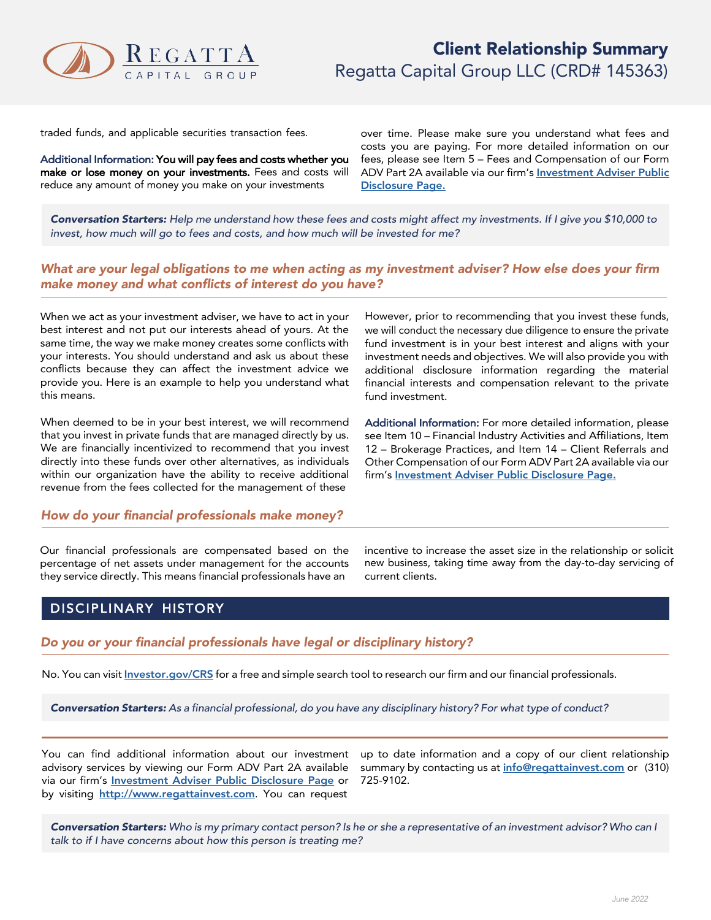

traded funds, and applicable securities transaction fees.

Additional Information: You will pay fees and costs whether you make or lose money on your investments. Fees and costs will reduce any amount of money you make on your investments

over time. Please make sure you understand what fees and costs you are paying. For more detailed information on our fees, please see Item 5 – Fees and Compensation of our Form ADV Part 2A available via our firm's Investment Adviser Public Disclosure Page.

Conversation Starters: Help me understand how these fees and costs might affect my investments. If I give you \$10,000 to *invest, how much will go to fees and costs, and how much will be invested for me?*

#### What are your legal obligations to me when acting as my investment adviser? How else does your firm *make money and what conflicts of interest do you have?*

When we act as your investment adviser, we have to act in your best interest and not put our interests ahead of yours. At the same time, the way we make money creates some conflicts with your interests. You should understand and ask us about these conflicts because they can affect the investment advice we provide you. Here is an example to help you understand what this means.

When deemed to be in your best interest, we will recommend that you invest in private funds that are managed directly by us. We are financially incentivized to recommend that you invest directly into these funds over other alternatives, as individuals within our organization have the ability to receive additional revenue from the fees collected for the management of these

#### *How do your financial professionals make money?*

Our financial professionals are compensated based on the percentage of net assets under management for the accounts they service directly. This means financial professionals have an

However, prior to recommending that you invest these funds, we will conduct the necessary due diligence to ensure the private fund investment is in your best interest and aligns with your investment needs and objectives. We will also provide you with additional disclosure information regarding the material financial interests and compensation relevant to the private fund investment.

Additional Information: For more detailed information, please see Item 10 – Financial Industry Activities and Affiliations, Item 12 – Brokerage Practices, and Item 14 – Client Referrals and Other Compensation of our Form ADV Part 2A available via our firm's Investment Adviser Public Disclosure Page.

incentive to increase the asset size in the relationship or solicit new business, taking time away from the day-to-day servicing of current clients.

### DISCIPLINARY HISTORY

*Do you or your financial professionals have legal or disciplinary history?*

No. You can visit *Investor.gov/CRS* for a free and simple search tool to research our firm and our financial professionals.

Conversation Starters: As a financial professional, do you have any disciplinary history? For what type of conduct?

You can find additional information about our investment advisory services by viewing our Form ADV Part 2A available via our firm's **Investment Adviser Public Disclosure Page** or by visiting http://www.regattainvest.com. You can request

up to date information and a copy of our client relationship summary by contacting us at **info@regattainvest.com** or (310) 725-9102.

Conversation Starters: Who is my primary contact person? Is he or she a representative of an investment advisor? Who can I *talk to if I have concerns about how this person is treating me?*